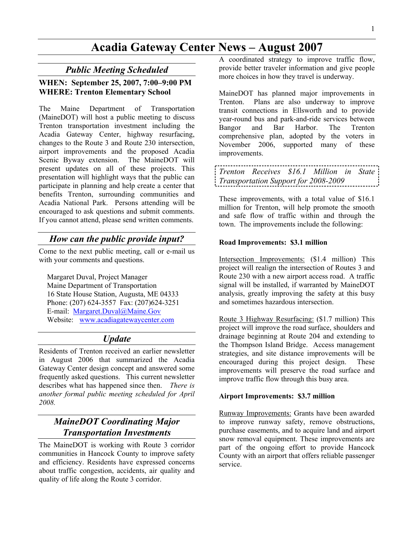# Acadia Gateway Center News – August 2007

### Public Meeting Scheduled

### WHEN: September 25, 2007, 7:00–9:00 PM WHERE: Trenton Elementary School

The Maine Department of Transportation (MaineDOT) will host a public meeting to discuss Trenton transportation investment including the Acadia Gateway Center, highway resurfacing, changes to the Route 3 and Route 230 intersection, airport improvements and the proposed Acadia<br>Scenic Byway extension. The MaineDOT will Scenic Byway extension. present updates on all of these projects. This presentation will highlight ways that the public can participate in planning and help create a center that benefits Trenton, surrounding communities and Acadia National Park. Persons attending will be encouraged to ask questions and submit comments. If you cannot attend, please send written comments.

# How can the public provide input?

Come to the next public meeting, call or e-mail us with your comments and questions.

Margaret Duval, Project Manager Maine Department of Transportation 16 State House Station, Augusta, ME 04333 Phone: (207) 624-3557 Fax: (207)624-3251 E-mail: Margaret.Duval@Maine.Gov Website: www.acadiagatewaycenter.com

## Update

Residents of Trenton received an earlier newsletter in August 2006 that summarized the Acadia Gateway Center design concept and answered some frequently asked questions. This current newsletter describes what has happened since then. There is another formal public meeting scheduled for April 2008.

# MaineDOT Coordinating Major Transportation Investments

The MaineDOT is working with Route 3 corridor communities in Hancock County to improve safety and efficiency. Residents have expressed concerns about traffic congestion, accidents, air quality and quality of life along the Route 3 corridor.

A coordinated strategy to improve traffic flow, provide better traveler information and give people more choices in how they travel is underway.

MaineDOT has planned major improvements in Trenton. Plans are also underway to improve transit connections in Ellsworth and to provide year-round bus and park-and-ride services between Bangor and Bar Harbor. The Trenton comprehensive plan, adopted by the voters in November 2006, supported many of these improvements.

|                                      | Trenton Receives \$16.1 Million in State: |  |  |  |  |
|--------------------------------------|-------------------------------------------|--|--|--|--|
| Transportation Support for 2008-2009 |                                           |  |  |  |  |

These improvements, with a total value of \$16.1 million for Trenton, will help promote the smooth and safe flow of traffic within and through the town. The improvements include the following:

#### Road Improvements: \$3.1 million

Intersection Improvements: (\$1.4 million) This project will realign the intersection of Routes 3 and Route 230 with a new airport access road. A traffic signal will be installed, if warranted by MaineDOT analysis, greatly improving the safety at this busy and sometimes hazardous intersection.

Route 3 Highway Resurfacing: (\$1.7 million) This project will improve the road surface, shoulders and drainage beginning at Route 204 and extending to the Thompson Island Bridge. Access management strategies, and site distance improvements will be encouraged during this project design. These improvements will preserve the road surface and improve traffic flow through this busy area.

#### Airport Improvements: \$3.7 million

Runway Improvements: Grants have been awarded to improve runway safety, remove obstructions, purchase easements, and to acquire land and airport snow removal equipment. These improvements are part of the ongoing effort to provide Hancock County with an airport that offers reliable passenger service.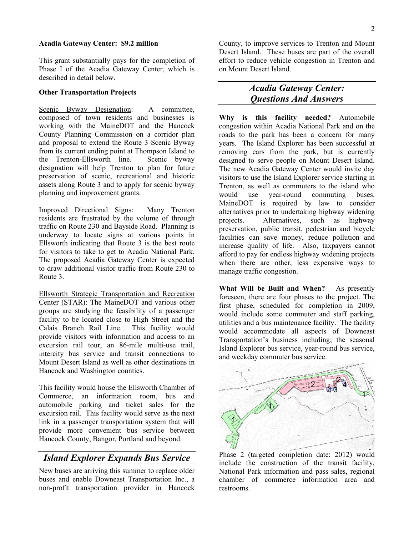#### Acadia Gateway Center: \$9.2 million

This grant substantially pays for the completion of Phase I of the Acadia Gateway Center, which is described in detail below.

#### Other Transportation Projects

Scenic Byway Designation: A committee, composed of town residents and businesses is working with the MaineDOT and the Hancock County Planning Commission on a corridor plan and proposal to extend the Route 3 Scenic Byway from its current ending point at Thompson Island to the Trenton-Ellsworth line. Scenic byway designation will help Trenton to plan for future preservation of scenic, recreational and historic assets along Route 3 and to apply for scenic byway planning and improvement grants.

Improved Directional Signs: Many Trenton residents are frustrated by the volume of through traffic on Route 230 and Bayside Road. Planning is underway to locate signs at various points in Ellsworth indicating that Route 3 is the best route for visitors to take to get to Acadia National Park. The proposed Acadia Gateway Center is expected to draw additional visitor traffic from Route 230 to Route 3.

Ellsworth Strategic Transportation and Recreation Center (STAR): The MaineDOT and various other groups are studying the feasibility of a passenger facility to be located close to High Street and the Calais Branch Rail Line. This facility would provide visitors with information and access to an excursion rail tour, an 86-mile multi-use trail, intercity bus service and transit connections to Mount Desert Island as well as other destinations in Hancock and Washington counties.

This facility would house the Ellsworth Chamber of Commerce, an information room, bus and automobile parking and ticket sales for the excursion rail. This facility would serve as the next link in a passenger transportation system that will provide more convenient bus service between Hancock County, Bangor, Portland and beyond.

### Island Explorer Expands Bus Service

New buses are arriving this summer to replace older buses and enable Downeast Transportation Inc., a non-profit transportation provider in Hancock

County, to improve services to Trenton and Mount Desert Island. These buses are part of the overall effort to reduce vehicle congestion in Trenton and on Mount Desert Island.

## Acadia Gateway Center: Questions And Answers

Why is this facility needed? Automobile congestion within Acadia National Park and on the roads to the park has been a concern for many years. The Island Explorer has been successful at removing cars from the park, but is currently designed to serve people on Mount Desert Island. The new Acadia Gateway Center would invite day visitors to use the Island Explorer service starting in Trenton, as well as commuters to the island who would use year-round commuting buses. MaineDOT is required by law to consider alternatives prior to undertaking highway widening projects. Alternatives, such as highway preservation, public transit, pedestrian and bicycle facilities can save money, reduce pollution and increase quality of life. Also, taxpayers cannot afford to pay for endless highway widening projects when there are other, less expensive ways to manage traffic congestion.

What Will be Built and When? As presently foreseen, there are four phases to the project. The first phase, scheduled for completion in 2009, would include some commuter and staff parking, utilities and a bus maintenance facility. The facility would accommodate all aspects of Downeast Transportation's business including; the seasonal Island Explorer bus service, year-round bus service, and weekday commuter bus service.



Phase 2 (targeted completion date: 2012) would include the construction of the transit facility, National Park information and pass sales, regional chamber of commerce information area and restrooms.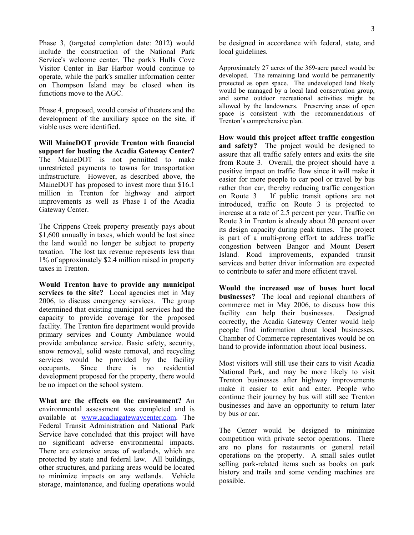Phase 3, (targeted completion date: 2012) would include the construction of the National Park Service's welcome center. The park's Hulls Cove Visitor Center in Bar Harbor would continue to operate, while the park's smaller information center on Thompson Island may be closed when its functions move to the AGC.

Phase 4, proposed, would consist of theaters and the development of the auxiliary space on the site, if viable uses were identified.

Will MaineDOT provide Trenton with financial support for hosting the Acadia Gateway Center? The MaineDOT is not permitted to make unrestricted payments to towns for transportation infrastructure. However, as described above, the MaineDOT has proposed to invest more than \$16.1 million in Trenton for highway and airport improvements as well as Phase I of the Acadia Gateway Center.

The Crippens Creek property presently pays about \$1,600 annually in taxes, which would be lost since the land would no longer be subject to property taxation. The lost tax revenue represents less than 1% of approximately \$2.4 million raised in property taxes in Trenton.

Would Trenton have to provide any municipal services to the site? Local agencies met in May 2006, to discuss emergency services. The group determined that existing municipal services had the capacity to provide coverage for the proposed facility. The Trenton fire department would provide primary services and County Ambulance would provide ambulance service. Basic safety, security, snow removal, solid waste removal, and recycling services would be provided by the facility occupants. Since there is no residential development proposed for the property, there would be no impact on the school system.

What are the effects on the environment? An environmental assessment was completed and is available at www.acadiagatewaycenter.com. The Federal Transit Administration and National Park Service have concluded that this project will have no significant adverse environmental impacts. There are extensive areas of wetlands, which are protected by state and federal law. All buildings, other structures, and parking areas would be located to minimize impacts on any wetlands. Vehicle storage, maintenance, and fueling operations would be designed in accordance with federal, state, and local guidelines.

Approximately 27 acres of the 369-acre parcel would be developed. The remaining land would be permanently protected as open space. The undeveloped land likely would be managed by a local land conservation group, and some outdoor recreational activities might be allowed by the landowners. Preserving areas of open space is consistent with the recommendations of Trenton's comprehensive plan.

How would this project affect traffic congestion and safety? The project would be designed to assure that all traffic safely enters and exits the site from Route 3. Overall, the project should have a positive impact on traffic flow since it will make it easier for more people to car pool or travel by bus rather than car, thereby reducing traffic congestion on Route 3 If public transit options are not introduced, traffic on Route 3 is projected to increase at a rate of 2.5 percent per year. Traffic on Route 3 in Trenton is already about 20 percent over its design capacity during peak times. The project is part of a multi-prong effort to address traffic congestion between Bangor and Mount Desert Island. Road improvements, expanded transit services and better driver information are expected to contribute to safer and more efficient travel.

Would the increased use of buses hurt local businesses? The local and regional chambers of commerce met in May 2006, to discuss how this facility can help their businesses. Designed correctly, the Acadia Gateway Center would help people find information about local businesses. Chamber of Commerce representatives would be on hand to provide information about local business.

Most visitors will still use their cars to visit Acadia National Park, and may be more likely to visit Trenton businesses after highway improvements make it easier to exit and enter. People who continue their journey by bus will still see Trenton businesses and have an opportunity to return later by bus or car.

The Center would be designed to minimize competition with private sector operations. There are no plans for restaurants or general retail operations on the property. A small sales outlet selling park-related items such as books on park history and trails and some vending machines are possible.